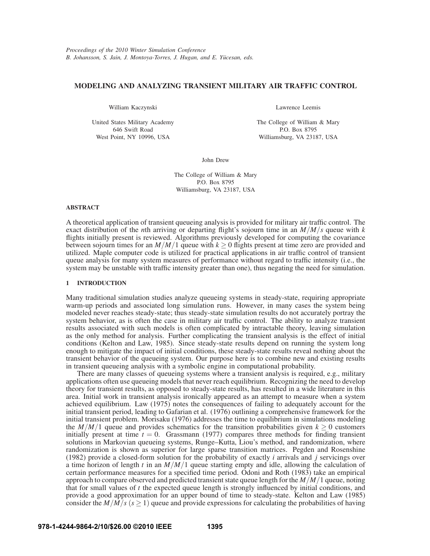# **MODELING AND ANALYZING TRANSIENT MILITARY AIR TRAFFIC CONTROL**

William Kaczynski

United States Military Academy 646 Swift Road West Point, NY 10996, USA

Lawrence Leemis

The College of William & Mary P.O. Box 8795 Williamsburg, VA 23187, USA

John Drew

The College of William & Mary P.O. Box 8795 Williamsburg, VA 23187, USA

## **ABSTRACT**

A theoretical application of transient queueing analysis is provided for military air traffic control. The exact distribution of the *n*th arriving or departing flight's sojourn time in an *M*/*M*/*s* queue with *k* flights initially present is reviewed. Algorithms previously developed for computing the covariance between sojourn times for an  $M/M/1$  queue with  $k \ge 0$  flights present at time zero are provided and utilized. Maple computer code is utilized for practical applications in air traffic control of transient queue analysis for many system measures of performance without regard to traffic intensity (i.e., the system may be unstable with traffic intensity greater than one), thus negating the need for simulation.

## **1 INTRODUCTION**

Many traditional simulation studies analyze queueing systems in steady-state, requiring appropriate warm-up periods and associated long simulation runs. However, in many cases the system being modeled never reaches steady-state; thus steady-state simulation results do not accurately portray the system behavior, as is often the case in military air traffic control. The ability to analyze transient results associated with such models is often complicated by intractable theory, leaving simulation as the only method for analysis. Further complicating the transient analysis is the effect of initial conditions (Kelton and Law, 1985). Since steady-state results depend on running the system long enough to mitigate the impact of initial conditions, these steady-state results reveal nothing about the transient behavior of the queueing system. Our purpose here is to combine new and existing results in transient queueing analysis with a symbolic engine in computational probability.

There are many classes of queueing systems where a transient analysis is required, e.g., military applications often use queueing models that never reach equilibrium. Recognizing the need to develop theory for transient results, as opposed to steady-state results, has resulted in a wide literature in this area. Initial work in transient analysis ironically appeared as an attempt to measure when a system achieved equilibrium. Law (1975) notes the consequences of failing to adequately account for the initial transient period, leading to Gafarian et al. (1976) outlining a comprehensive framework for the initial transient problem. Morisaku (1976) addresses the time to equilibrium in simulations modeling the  $M/M/1$  queue and provides schematics for the transition probabilities given  $k \ge 0$  customers initially present at time  $t = 0$ . Grassmann (1977) compares three methods for finding transient solutions in Markovian queueing systems, Runge–Kutta, Liou's method, and randomization, where randomization is shown as superior for large sparse transition matrices. Pegden and Rosenshine (1982) provide a closed-form solution for the probability of exactly *i* arrivals and *j* servicings over a time horizon of length *t* in an *M*/*M*/1 queue starting empty and idle, allowing the calculation of certain performance measures for a specified time period. Odoni and Roth (1983) take an empirical approach to compare observed and predicted transient state queue length for the *M*/*M*/1 queue, noting that for small values of *t* the expected queue length is strongly influenced by initial conditions, and provide a good approximation for an upper bound of time to steady-state. Kelton and Law (1985) consider the  $M/M/s$  ( $s > 1$ ) queue and provide expressions for calculating the probabilities of having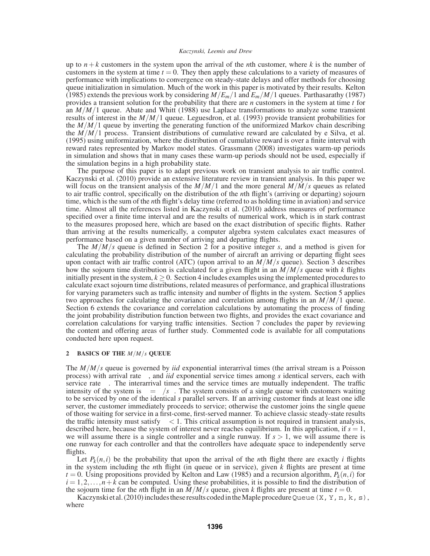up to  $n+k$  customers in the system upon the arrival of the *n*th customer, where *k* is the number of customers in the system at time  $t = 0$ . They then apply these calculations to a variety of measures of performance with implications to convergence on steady-state delays and offer methods for choosing queue initialization in simulation. Much of the work in this paper is motivated by their results. Kelton (1985) extends the previous work by considering *M*/*Em*/1 and *Em*/*M*/1 queues. Parthasarathy (1987) provides a transient solution for the probability that there are *n* customers in the system at time *t* for an  $M/M/1$  queue. Abate and Whitt (1988) use Laplace transformations to analyze some transient results of interest in the *M*/*M*/1 queue. Leguesdron, et al. (1993) provide transient probabilities for the  $M/M/1$  queue by inverting the generating function of the uniformized Markov chain describing the *M*/*M*/1 process. Transient distributions of cumulative reward are calculated by e Silva, et al. (1995) using uniformization, where the distribution of cumulative reward is over a finite interval with reward rates represented by Markov model states. Grassmann (2008) investigates warm-up periods in simulation and shows that in many cases these warm-up periods should not be used, especially if the simulation begins in a high probability state.

The purpose of this paper is to adapt previous work on transient analysis to air traffic control. Kaczynski et al. (2010) provide an extensive literature review in transient analysis. In this paper we will focus on the transient analysis of the  $M/M/1$  and the more general  $M/M/s$  queues as related to air traffic control, specifically on the distribution of the *n*th flight's (arriving or departing) sojourn time, which is the sum of the *n*th flight's delay time (referred to as holding time in aviation) and service time. Almost all the references listed in Kaczynski et al. (2010) address measures of performance specified over a finite time interval and are the results of numerical work, which is in stark contrast to the measures proposed here, which are based on the exact distribution of specific flights. Rather than arriving at the results numerically, a computer algebra system calculates exact measures of performance based on a given number of arriving and departing flights.

The *M*/*M*/*s* queue is defined in Section 2 for a positive integer *s*, and a method is given for calculating the probability distribution of the number of aircraft an arriving or departing flight sees upon contact with air traffic control (ATC) (upon arrival to an *M*/*M*/*s* queue). Section 3 describes how the sojourn time distribution is calculated for a given flight in an *M*/*M*/*s* queue with *k* flights initially present in the system,  $k \geq 0$ . Section 4 includes examples using the implemented procedures to calculate exact sojourn time distributions, related measures of performance, and graphical illustrations for varying parameters such as traffic intensity and number of flights in the system. Section 5 applies two approaches for calculating the covariance and correlation among flights in an *M*/*M*/1 queue. Section 6 extends the covariance and correlation calculations by automating the process of finding the joint probability distribution function between two flights, and provides the exact covariance and correlation calculations for varying traffic intensities. Section 7 concludes the paper by reviewing the content and offering areas of further study. Commented code is available for all computations conducted here upon request.

# **2 BASICS OF THE** *M*/*M*/*s* **QUEUE**

The *M*/*M*/*s* queue is governed by *iid* exponential interarrival times (the arrival stream is a Poisson process) with arrival rate  $\lambda$ , and *iid* exponential service times among *s* identical servers, each with service rate  $\mu$ . The interarrival times and the service times are mutually independent. The traffic intensity of the system is  $\rho = \lambda / s \mu$ . The system consists of a single queue with customers waiting to be serviced by one of the identical *s* parallel servers. If an arriving customer finds at least one idle server, the customer immediately proceeds to service; otherwise the customer joins the single queue of those waiting for service in a first-come, first-served manner. To achieve classic steady-state results the traffic intensity must satisfy  $\rho < 1$ . This critical assumption is not required in transient analysis, described here, because the system of interest never reaches equilibrium. In this application, if  $s = 1$ , we will assume there is a single controller and a single runway. If  $s > 1$ , we will assume there is one runway for each controller and that the controllers have adequate space to independently serve flights.

Let  $P_k(n,i)$  be the probability that upon the arrival of the *n*th flight there are exactly *i* flights in the system including the *n*th flight (in queue or in service), given *k* flights are present at time  $t = 0$ . Using propositions provided by Kelton and Law (1985) and a recursion algorithm,  $P_k(n, i)$  for  $i = 1, 2, \ldots, n+k$  can be computed. Using these probabilities, it is possible to find the distribution of the sojourn time for the *n*th flight in an  $\frac{M}{M/s}$  queue, given *k* flights are present at time  $t = 0$ .

Kaczynski et al. (2010) includes these results coded in the Maple procedure Queue (X, Y, n, k, s), where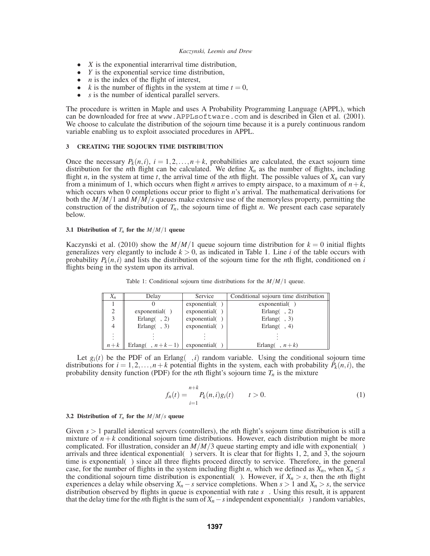- *X* is the exponential interarrival time distribution,
- *Y* is the exponential service time distribution,
- *n* is the index of the flight of interest,
- $k$  is the number of flights in the system at time  $t = 0$ ,
- *s* is the number of identical parallel servers.

The procedure is written in Maple and uses A Probability Programming Language (APPL), which can be downloaded for free at www.APPLsoftware.com and is described in Glen et al. (2001). We choose to calculate the distribution of the sojourn time because it is a purely continuous random variable enabling us to exploit associated procedures in APPL.

# **3 CREATING THE SOJOURN TIME DISTRIBUTION**

Once the necessary  $P_k(n,i)$ ,  $i = 1,2,...,n+k$ , probabilities are calculated, the exact sojourn time distribution for the *n*th flight can be calculated. We define  $X_n$  as the number of flights, including flight *n*, in the system at time *t*, the arrival time of the *n*th flight. The possible values of  $X_n$  can vary from a minimum of 1, which occurs when flight *n* arrives to empty airspace, to a maximum of  $n + k$ , which occurs when 0 completions occur prior to flight *n*'s arrival. The mathematical derivations for both the *M*/*M*/1 and *M*/*M*/*s* queues make extensive use of the memoryless property, permitting the construction of the distribution of  $T_n$ , the sojourn time of flight *n*. We present each case separately below.

### **3.1 Distribution of**  $T_n$  for the  $M/M/1$  queue

Kaczynski et al. (2010) show the  $M/M/1$  queue sojourn time distribution for  $k = 0$  initial flights generalizes very elegantly to include  $k > 0$ , as indicated in Table 1. Line *i* of the table occurs with probability  $P_k(n,i)$  and lists the distribution of the sojourn time for the *n*th flight, conditioned on *i* flights being in the system upon its arrival.

| $X_n$                       | Delay                     | Service              | Conditional sojourn time distribution |
|-----------------------------|---------------------------|----------------------|---------------------------------------|
|                             |                           | exponential( $\mu$ ) | exponential( $\mu$ )                  |
| $\mathcal{D}_{\mathcal{A}}$ | exponential( $\mu$ )      | exponential( $\mu$ ) | Erlang( $\mu$ , 2)                    |
|                             | Erlang( $\mu$ , 2)        | exponential( $\mu$ ) | Erlang( $\mu$ , 3)                    |
|                             | Erlang $(\mu, 3)$         | exponential( $\mu$ ) | Erlang( $\mu$ , 4)                    |
| $\bullet$                   |                           |                      |                                       |
| $n+k$                       | Erlang( $\mu$ , $n+k-1$ ) | exponential( $\mu$ ) | Erlang( $\mu$ , $n+k$ )               |

Table 1: Conditional sojourn time distributions for the *M*/*M*/1 queue.

Let  $g_i(t)$  be the PDF of an Erlang( $\mu$ ,*i*) random variable. Using the conditional sojourn time distributions for  $i = 1, 2, ..., n+k$  potential flights in the system, each with probability  $P_k(n, i)$ , the probability density function (PDF) for the *n*th flight's sojourn time  $T_n$  is the mixture

$$
f_n(t) = \sum_{i=1}^{n+k} P_k(n,i)g_i(t) \qquad t > 0.
$$
 (1)

### **3.2 Distribution of**  $T_n$  for the  $M/M/s$  queue

Given  $s > 1$  parallel identical servers (controllers), the *n*th flight's sojourn time distribution is still a mixture of  $n + k$  conditional sojourn time distributions. However, each distribution might be more complicated. For illustration, consider an  $M/M/3$  queue starting empty and idle with exponential( $\lambda$ ) arrivals and three identical exponential( $\mu$ ) servers. It is clear that for flights 1, 2, and 3, the sojourn time is exponential $(\mu)$  since all three flights proceed directly to service. Therefore, in the general case, for the number of flights in the system including flight *n*, which we defined as  $X_n$ , when  $X_n \leq s$ the conditional sojourn time distribution is exponential( $\mu$ ). However, if  $X_n > s$ , then the *n*th flight experiences a delay while observing  $X_n - s$  service completions. When  $s > 1$  and  $X_n > s$ , the service distribution observed by flights in queue is exponential with rate *s*µ. Using this result, it is apparent that the delay time for the *n*th flight is the sum of  $X_n$  − *s* independent exponential( $s\mu$ ) random variables,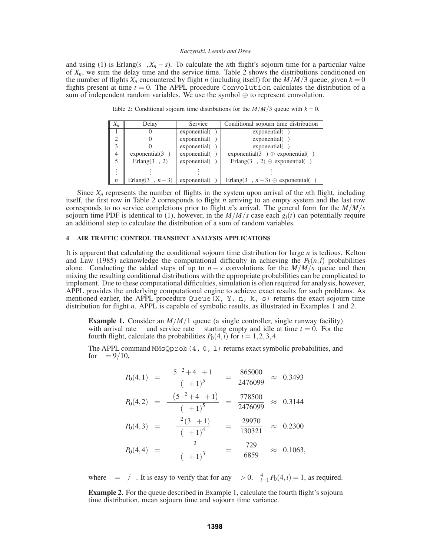and using (1) is Erlang( $s\mu$ , $X_n - s$ ). To calculate the *n*th flight's sojourn time for a particular value of  $X_n$ , we sum the delay time and the service time. Table 2 shows the distributions conditioned on the number of flights  $X_n$  encountered by flight *n* (including itself) for the  $M/M/3$  queue, given  $k = 0$ flights present at time  $t = 0$ . The APPL procedure Convolution calculates the distribution of a sum of independent random variables. We use the symbol  $\oplus$  to represent convolution.

Table 2: Conditional sojourn time distributions for the  $M/M/3$  queue with  $k = 0$ .

| $X_n$            | Delay                 | Service              | Conditional sojourn time distribution               |
|------------------|-----------------------|----------------------|-----------------------------------------------------|
|                  |                       | exponential( $\mu$ ) | exponential( $\mu$ )                                |
| $\overline{2}$   |                       | exponential( $\mu$ ) | exponential( $\mu$ )                                |
| 3                |                       | exponential( $\mu$ ) | exponential( $\mu$ )                                |
| $\overline{4}$   | exponential( $3\mu$ ) | exponential( $\mu$ ) | exponential(3 $\mu$ ) $\oplus$ exponential( $\mu$ ) |
| 5                | Erlang $(3\mu, 2)$    | exponential( $\mu$ ) | Erlang $(3\mu, 2)$ $\oplus$ exponential( $\mu$ )    |
| ٠<br>$\cdot$     |                       |                      |                                                     |
|                  |                       |                      |                                                     |
| $\boldsymbol{n}$ | Erlang $(3\mu, n-3)$  | exponential(u)       | Erlang $(3\mu, n-3) \oplus$ exponential( $\mu$ )    |

Since  $X_n$  represents the number of flights in the system upon arrival of the *n*th flight, including itself, the first row in Table 2 corresponds to flight *n* arriving to an empty system and the last row corresponds to no service completions prior to flight *n*'s arrival. The general form for the *M*/*M*/*s* sojourn time PDF is identical to (1), however, in the  $M/M/s$  case each  $g_i(t)$  can potentially require an additional step to calculate the distribution of a sum of random variables.

## **4 AIR TRAFFIC CONTROL TRANSIENT ANALYSIS APPLICATIONS**

It is apparent that calculating the conditional sojourn time distribution for large *n* is tedious. Kelton and Law (1985) acknowledge the computational difficulty in achieving the  $P_k(n,i)$  probabilities alone. Conducting the added steps of up to  $n - s$  convolutions for the  $M/M/s$  queue and then mixing the resulting conditional distributions with the appropriate probabilities can be complicated to implement. Due to these computational difficulties, simulation is often required for analysis, however, APPL provides the underlying computational engine to achieve exact results for such problems. As mentioned earlier, the APPL procedure Queue(X, Y, n, k, s) returns the exact sojourn time distribution for flight *n*. APPL is capable of symbolic results, as illustrated in Examples 1 and 2.

**Example 1.** Consider an *M*/*M*/1 queue (a single controller, single runway facility) with arrival rate  $\lambda$  and service rate  $\mu$  starting empty and idle at time  $t = 0$ . For the fourth flight, calculate the probabilities  $P_0(4, i)$  for  $i = 1, 2, 3, 4$ .

The APPL command MMsQprob(4, 0, 1) returns exact symbolic probabilities, and for  $\rho = 9/10$ ,

$$
P_0(4,1) = \frac{5\rho^2 + 4\rho + 1}{(\rho + 1)^5} = \frac{865000}{2476099} \approx 0.3493
$$
  
\n
$$
P_0(4,2) = \frac{\rho (5\rho^2 + 4\rho + 1)}{(\rho + 1)^5} = \frac{778500}{2476099} \approx 0.3144
$$
  
\n
$$
P_0(4,3) = \frac{\rho^2 (3\rho + 1)}{(\rho + 1)^4} = \frac{29970}{130321} \approx 0.2300
$$
  
\n
$$
P_0(4,4) = \frac{\rho^3}{(\rho + 1)^3} = \frac{729}{6859} \approx 0.1063,
$$

where  $\rho = \lambda/\mu$ . It is easy to verify that for any  $\rho > 0$ ,  $\sum_{i=1}^{4} P_0(4, i) = 1$ , as required.

**Example 2.** For the queue described in Example 1, calculate the fourth flight's sojourn time distribution, mean sojourn time and sojourn time variance.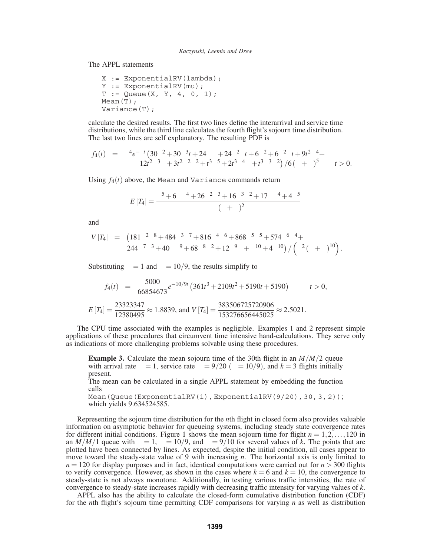The APPL statements

```
X := ExponentialRV(lambda);
Y := ExponentialRV(mu);
T := Queue(X, Y, 4, 0, 1);
Mean(T);
Variance(T);
```
calculate the desired results. The first two lines define the interarrival and service time distributions, while the third line calculates the fourth flight's sojourn time distribution. The last two lines are self explanatory. The resulting PDF is

$$
f_4(t) = \mu^4 e^{-\mu t} \left( 30\lambda^2 + 30\lambda^3 t + 24\lambda\mu + 24\lambda^2\mu t + 6\mu^2 + 6\mu^2\lambda t + 9t^2\lambda^4 + 12t^2\lambda^3\mu + 3t^2\lambda^2\mu^2 + t^3\lambda^5 + 2t^3\lambda^4\mu + t^3\lambda^3\mu^2 \right) / 6(\lambda + \mu)^5 \qquad t > 0.
$$

Using  $f_4(t)$  above, the Mean and Variance commands return

$$
E\left[T_{4}\right] = \frac{\mu^{5} + 6\lambda\mu^{4} + 26\mu^{2}\lambda^{3} + 16\mu^{3}\lambda^{2} + 17\mu\lambda^{4} + 4\lambda^{5}}{\mu\left(\lambda + \mu\right)^{5}}
$$

and

$$
V[T_4] = (181\mu^2\lambda^8 + 484\mu^3\lambda^7 + 816\mu^4\lambda^6 + 868\mu^5\lambda^5 + 574\mu^6\lambda^4 + 244\mu^7\lambda^3 + 40\mu\lambda^9 + 68\mu^8\lambda^2 + 12\mu^9\lambda + \mu^{10} + 4\lambda^{10}) / (\mu^2(\lambda + \mu)^{10}).
$$

Substituting  $\lambda = 1$  and  $\mu = 10/9$ , the results simplify to

$$
f_4(t) = \frac{5000}{66854673} e^{-10/9t} \left(361t^3 + 2109t^2 + 5190t + 5190\right) \qquad t > 0,
$$
  

$$
E\left[T_4\right] = \frac{23323347}{12380495} \approx 1.8839, \text{ and } V\left[T_4\right] = \frac{383506725720906}{153276656445025} \approx 2.5021.
$$

The CPU time associated with the examples is negligible. Examples 1 and 2 represent simple applications of these procedures that circumvent time intensive hand-calculations. They serve only as indications of more challenging problems solvable using these procedures.

**Example 3.** Calculate the mean sojourn time of the 30th flight in an *M*/*M*/2 queue with arrival rate  $\lambda = 1$ , service rate  $\mu = 9/20$  ( $\rho = 10/9$ ), and  $k = 3$  flights initially present.

The mean can be calculated in a single APPL statement by embedding the function calls

```
Mean(Queue(ExponentialRV(1), ExponentialRV(9/20), 30, 3, 2));
which yields 9.634524585.
```
Representing the sojourn time distribution for the *n*th flight in closed form also provides valuable information on asymptotic behavior for queueing systems, including steady state convergence rates for different initial conditions. Figure 1 shows the mean sojourn time for flight  $n = 1, 2, \ldots, 120$  in an *M*/*M*/1 queue with  $\lambda = 1$ ,  $\mu = 10/9$ , and  $\rho = 9/10$  for several values of *k*. The points that are plotted have been connected by lines. As expected, despite the initial condition, all cases appear to move toward the steady-state value of 9 with increasing *n*. The horizontal axis is only limited to  $n = 120$  for display purposes and in fact, identical computations were carried out for  $n > 300$  flights to verify convergence. However, as shown in the cases where  $k = 6$  and  $k = 10$ , the convergence to steady-state is not always monotone. Additionally, in testing various traffic intensities, the rate of convergence to steady-state increases rapidly with decreasing traffic intensity for varying values of *k*.

APPL also has the ability to calculate the closed-form cumulative distribution function (CDF) for the *n*th flight's sojourn time permitting CDF comparisons for varying *n* as well as distribution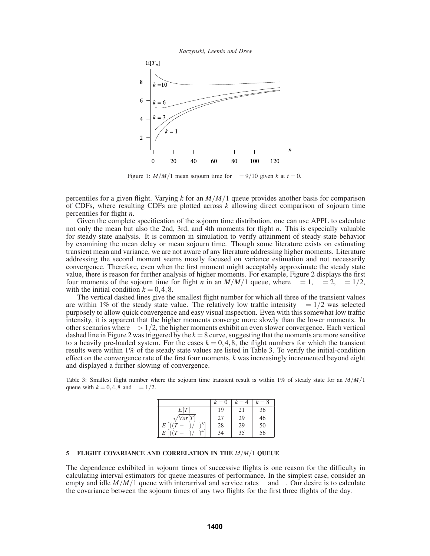



Figure 1:  $M/M/1$  mean sojourn time for  $\rho = 9/10$  given *k* at  $t = 0$ .

percentiles for a given flight. Varying *k* for an *M*/*M*/1 queue provides another basis for comparison of CDFs, where resulting CDFs are plotted across *k* allowing direct comparison of sojourn time percentiles for flight *n*.

Given the complete specification of the sojourn time distribution, one can use APPL to calculate not only the mean but also the 2nd, 3rd, and 4th moments for flight *n*. This is especially valuable for steady-state analysis. It is common in simulation to verify attainment of steady-state behavior by examining the mean delay or mean sojourn time. Though some literature exists on estimating transient mean and variance, we are not aware of any literature addressing higher moments. Literature addressing the second moment seems mostly focused on variance estimation and not necessarily convergence. Therefore, even when the first moment might acceptably approximate the steady state value, there is reason for further analysis of higher moments. For example, Figure 2 displays the first four moments of the sojourn time for flight *n* in an  $M/M/1$  queue, where  $\lambda = 1$ ,  $\mu = 2$ ,  $\rho = 1/2$ , with the initial condition  $k = 0, 4, 8$ .

The vertical dashed lines give the smallest flight number for which all three of the transient values are within 1% of the steady state value. The relatively low traffic intensity  $\rho = 1/2$  was selected purposely to allow quick convergence and easy visual inspection. Even with this somewhat low traffic intensity, it is apparent that the higher moments converge more slowly than the lower moments. In other scenarios where  $\rho > 1/2$ , the higher moments exhibit an even slower convergence. Each vertical dashed line in Figure 2 was triggered by the *k* = 8 curve, suggesting that the moments are more sensitive to a heavily pre-loaded system. For the cases  $k = 0, 4, 8$ , the flight numbers for which the transient results were within 1% of the steady state values are listed in Table 3. To verify the initial-condition effect on the convergence rate of the first four moments, *k* was increasingly incremented beyond eight and displayed a further slowing of convergence.

Table 3: Smallest flight number where the sojourn time transient result is within 1% of steady state for an *M*/*M*/1 queue with  $k = 0.4$ , 8 and  $\rho = 1/2$ .

|                              | $k=0$ | $k = 4$ | $k=8$ |
|------------------------------|-------|---------|-------|
| E[T]                         | 19    | 21      | 36    |
| $\sqrt{Var}[T]$              | 27    | 29      | 46    |
| $((T - \mu)/\sigma)^3]$<br>E | 28    | 29      | 50    |
| $(-\mu)_{\ell}$<br>$\sigma$  | 34    | 35      | 56    |

### **5 FLIGHT COVARIANCE AND CORRELATION IN THE** *M*/*M*/1 **QUEUE**

The dependence exhibited in sojourn times of successive flights is one reason for the difficulty in calculating interval estimators for queue measures of performance. In the simplest case, consider an empty and idle  $M/M/1$  queue with interarrival and service rates  $\lambda$  and  $\mu$ . Our desire is to calculate the covariance between the sojourn times of any two flights for the first three flights of the day.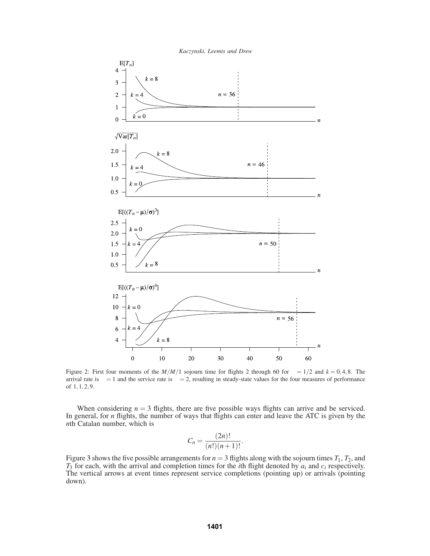

Figure 2: First four moments of the  $M/M/1$  sojourn time for flights 2 through 60 for  $\rho = 1/2$  and  $k = 0, 4, 8$ . The arrival rate is  $\lambda = 1$  and the service rate is  $\mu = 2$ , resulting in steady-state values for the four measures of performance of 1,1,2,9.

When considering  $n = 3$  flights, there are five possible ways flights can arrive and be serviced. In general, for *n* flights, the number of ways that flights can enter and leave the ATC is given by the *n*th Catalan number, which is

$$
C_n = \frac{(2n)!}{(n!)(n+1)!}.
$$

Figure 3 shows the five possible arrangements for  $n = 3$  flights along with the sojourn times  $T_1$ ,  $T_2$ , and *T*<sup>3</sup> for each, with the arrival and completion times for the *i*th flight denoted by *ai* and *ci* respectively. The vertical arrows at event times represent service completions (pointing up) or arrivals (pointing down).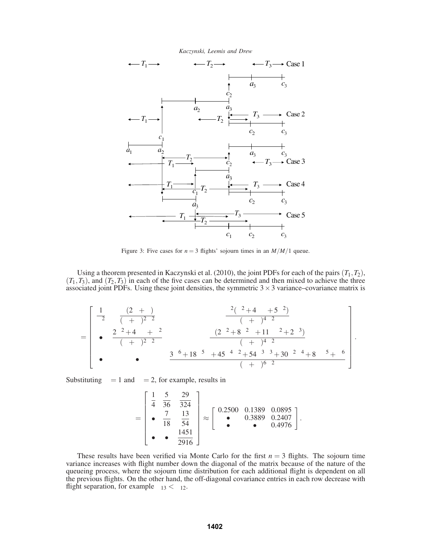

Figure 3: Five cases for  $n = 3$  flights' sojourn times in an  $M/M/1$  queue.

Using a theorem presented in Kaczynski et al. (2010), the joint PDFs for each of the pairs (*T*1,*T*2),  $(T_1, T_3)$ , and  $(T_2, T_3)$  in each of the five cases can be determined and then mixed to achieve the three associated joint PDFs. Using these joint densities, the symmetric  $3 \times 3$  variance–covariance matrix is

$$
\Sigma = \begin{bmatrix} \frac{1}{\mu^2} & \frac{\lambda(2\mu+\lambda)}{(\lambda+\mu)^2\mu^2} & \frac{\lambda^2(\lambda^2+4\lambda\mu+5\mu^2)}{(\lambda+\mu)^4\mu^2} \\ \bullet & \frac{2\lambda^2+4\lambda\mu+\mu^2}{(\lambda+\mu)^2\mu^2} & \frac{\lambda(2\lambda^2+8\lambda^2\mu+11\lambda\mu^2+2\mu^3)}{(\lambda+\mu)^4\mu^2} \\ \bullet & \bullet & \frac{3\lambda^6+18\lambda^5\mu+45\lambda^4\mu^2+54\lambda^3\mu^3+30\lambda^2\mu^4+8\lambda\mu^5+\mu^6}{(\lambda+\mu)^6\mu^2} \end{bmatrix}.
$$

Substituting  $\lambda = 1$  and  $\mu = 2$ , for example, results in

$$
\Sigma = \begin{bmatrix} \frac{1}{4} & \frac{5}{36} & \frac{29}{324} \\ \bullet & \frac{7}{18} & \frac{13}{54} \\ \bullet & \bullet & \frac{1451}{2916} \end{bmatrix} \approx \begin{bmatrix} 0.2500 & 0.1389 & 0.0895 \\ \bullet & 0.3889 & 0.2407 \\ \bullet & \bullet & 0.4976 \end{bmatrix}.
$$

These results have been verified via Monte Carlo for the first  $n = 3$  flights. The sojourn time variance increases with flight number down the diagonal of the matrix because of the nature of the queueing process, where the sojourn time distribution for each additional flight is dependent on all the previous flights. On the other hand, the off-diagonal covariance entries in each row decrease with flight separation, for example  $\sigma_{13} < \sigma_{12}$ .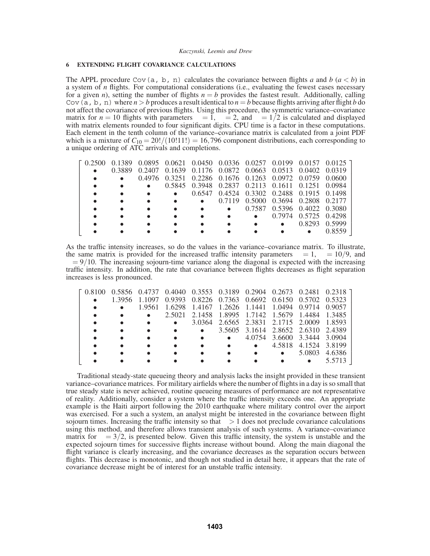## *EXTENDING FLIGHT COVARIANCE CALCULATIONS*

The APPL procedure Cov(a, b, n) calculates the covariance between flights *a* and *b*  $(a < b)$  in a system of *n* flights. For computational considerations (i.e., evaluating the fewest cases necessary for a given *n*), setting the number of flights  $n = b$  provides the fastest result. Additionally, calling Cov(a, b, n) where  $n > b$  produces a result identical to  $n = b$  because flights arriving after flight *b* do not affect the covariance of previous flights. Using this procedure, the symmetric variance–covariance matrix for  $n = 10$  flights with parameters  $\lambda = 1$ ,  $\mu = 2$ , and  $\rho = 1/2$  is calculated and displayed with matrix elements rounded to four significant digits. CPU time is a factor in these computations. Each element in the tenth column of the variance–covariance matrix is calculated from a joint PDF which is a mixture of  $C_{10} = 20!/(10!11!) = 16,796$  component distributions, each corresponding to a unique ordering of ATC arrivals and completions.

| F 0.2500 |        |                                                         |                                                         |                                           |                             | $0.1389$ $0.0895$ $0.0621$ $0.0450$ $0.0336$ $0.0257$ $0.0199$ $0.0157$ $0.0125$ T |
|----------|--------|---------------------------------------------------------|---------------------------------------------------------|-------------------------------------------|-----------------------------|------------------------------------------------------------------------------------|
|          | 0.3889 | 0.2407 0.1639 0.1176 0.0872 0.0663 0.0513 0.0402 0.0319 |                                                         |                                           |                             |                                                                                    |
|          |        |                                                         | 0.4976 0.3251 0.2286 0.1676 0.1263 0.0972 0.0759 0.0600 |                                           |                             |                                                                                    |
|          |        |                                                         | 0.5845 0.3948 0.2837 0.2113 0.1611 0.1251 0.0984        |                                           |                             |                                                                                    |
|          |        |                                                         |                                                         | 0.6547 0.4524 0.3302 0.2488 0.1915 0.1498 |                             |                                                                                    |
|          |        |                                                         |                                                         | 0.7119 0.5000 0.3694 0.2808 0.2177        |                             |                                                                                    |
|          |        |                                                         |                                                         |                                           | 0.7587 0.5396 0.4022 0.3080 |                                                                                    |
|          |        |                                                         |                                                         |                                           | 0.7974 0.5725 0.4298        |                                                                                    |
|          |        |                                                         |                                                         |                                           | 0.8293 0.5999               |                                                                                    |
|          |        |                                                         |                                                         |                                           |                             |                                                                                    |

As the traffic intensity increases, so do the values in the variance–covariance matrix. To illustrate, the same matrix is provided for the increased traffic intensity parameters  $\lambda = 1$ ,  $\mu = 10/9$ , and  $\rho = 9/10$ . The increasing sojourn-time variance along the diagonal is expected with the increasing traffic intensity. In addition, the rate that covariance between flights decreases as flight separation increases is less pronounced.

|  |                                                                |                                                  |                                           |                                    |                             |                      | F 0.8100  0.5856  0.4737  0.4040  0.3553  0.3189  0.2904  0.2673  0.2481  0.2318  1 |
|--|----------------------------------------------------------------|--------------------------------------------------|-------------------------------------------|------------------------------------|-----------------------------|----------------------|-------------------------------------------------------------------------------------|
|  |                                                                |                                                  |                                           |                                    |                             |                      |                                                                                     |
|  | 1.3956 1.1097 0.9393 0.8226 0.7363 0.6692 0.6150 0.5702 0.5323 |                                                  |                                           |                                    |                             |                      |                                                                                     |
|  | 1.9561 1.6298 1.4167 1.2626 1.1441 1.0494 0.9714 0.9057        |                                                  |                                           |                                    |                             |                      |                                                                                     |
|  |                                                                | 2.5021 2.1458 1.8995 1.7142 1.5679 1.4484 1.3485 |                                           |                                    |                             |                      |                                                                                     |
|  |                                                                |                                                  | 3.0364 2.6565 2.3831 2.1715 2.0009 1.8593 |                                    |                             |                      |                                                                                     |
|  |                                                                |                                                  |                                           | 3.5605 3.1614 2.8652 2.6310 2.4389 |                             |                      |                                                                                     |
|  |                                                                |                                                  |                                           |                                    | 4.0754 3.6600 3.3444 3.0904 |                      |                                                                                     |
|  |                                                                |                                                  |                                           |                                    |                             | 4.5818 4.1524 3.8199 |                                                                                     |
|  |                                                                |                                                  |                                           |                                    |                             | 5.0803               | 4.6386                                                                              |
|  |                                                                |                                                  |                                           |                                    |                             |                      |                                                                                     |

Traditional steady-state queueing theory and analysis lacks the insight provided in these transient variance–covariance matrices. For military airfields where the number of flights in a day is so small that true steady state is never achieved, routine queueing measures of performance are not representative of reality. Additionally, consider a system where the traffic intensity exceeds one. An appropriate example is the Haiti airport following the 2010 earthquake where military control over the airport was exercised. For a such a system, an analyst might be interested in the covariance between flight sojourn times. Increasing the traffic intensity so that  $\rho > 1$  does not preclude covariance calculations using this method, and therefore allows transient analysis of such systems. A variance–covariance matrix for  $\rho = 3/2$ , is presented below. Given this traffic intensity, the system is unstable and the expected sojourn times for successive flights increase without bound. Along the main diagonal the flight variance is clearly increasing, and the covariance decreases as the separation occurs between flights. This decrease is monotonic, and though not studied in detail here, it appears that the rate of covariance decrease might be of interest for an unstable traffic intensity.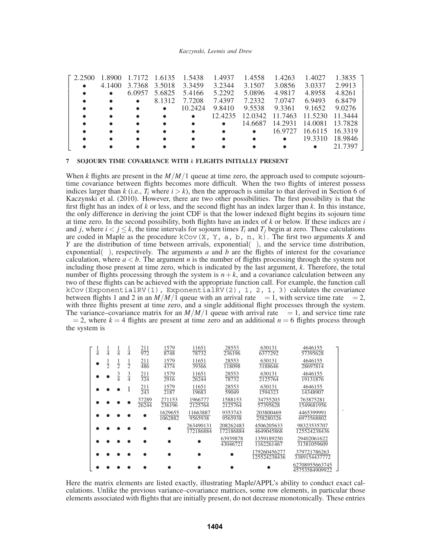| $\Gamma$ 2.2500 | 1.8900<br>4.1400 | 6.0957 | 1.7172 1.6135 1.5438<br>3.7368 3.5018<br>5.6825<br>8.1312<br>$\bullet$ | 3.3459<br>5.4166<br>7.7208<br>10.2424 | 1.4937<br>3.2344<br>5.2292<br>7.4397<br>9.8410<br>12.4235 | 1.4558<br>3.1507<br>5.0896<br>7.2332<br>9.5538<br>12.0342 11.7463 | 1.4263<br>3.0856<br>4.9817<br>7.0747<br>9.3361 | 1.4027<br>3.0337<br>4.8958<br>6.9493<br>9.1652<br>11.5230 | 1.3835<br>2.9913<br>4.8261<br>6.8479<br>9.0276<br>11.3444 |
|-----------------|------------------|--------|------------------------------------------------------------------------|---------------------------------------|-----------------------------------------------------------|-------------------------------------------------------------------|------------------------------------------------|-----------------------------------------------------------|-----------------------------------------------------------|
|                 |                  |        |                                                                        |                                       |                                                           |                                                                   |                                                |                                                           |                                                           |
|                 |                  |        |                                                                        |                                       |                                                           |                                                                   |                                                |                                                           |                                                           |
|                 |                  |        |                                                                        |                                       | $\bullet$                                                 | 14.6687                                                           | 14.2931                                        | 14.0081                                                   | 13.7828                                                   |
|                 |                  |        |                                                                        |                                       |                                                           |                                                                   | 16.9727                                        | 16.6115 16.3319                                           |                                                           |
|                 |                  |        |                                                                        |                                       |                                                           |                                                                   | $\bullet$                                      | 19.3310                                                   | 18.9846                                                   |
|                 |                  |        |                                                                        |                                       |                                                           |                                                                   |                                                |                                                           | 21.7397                                                   |

# **7 SOJOURN TIME COVARIANCE WITH** *k* **FLIGHTS INITIALLY PRESENT**

When *k* flights are present in the  $M/M/1$  queue at time zero, the approach used to compute sojourntime covariance between flights becomes more difficult. When the two flights of interest possess indices larger than  $k$  (i.e.,  $T_i$  where  $i > k$ ), then the approach is similar to that derived in Section 6 of Kaczynski et al. (2010). However, there are two other possibilities. The first possibility is that the first flight has an index of *k* or less, and the second flight has an index larger than *k*. In this instance, the only difference in deriving the joint CDF is that the lower indexed flight begins its sojourn time at time zero. In the second possibility, both flights have an index of *k* or below. If these indices are *i* and *j*, where  $i < j < k$ , the time intervals for sojourn times  $T_i$  and  $T_j$  begin at zero. These calculations are coded in Maple as the procedure kCov( $X$ ,  $Y$ ,  $a$ ,  $b$ ,  $n$ ,  $k$ ). The first two arguments *X* and *Y* are the distribution of time between arrivals, exponential( $\lambda$ ), and the service time distribution, exponential( $\mu$ ), respectively. The arguments *a* and *b* are the flights of interest for the covariance calculation, where  $a < b$ . The argument *n* is the number of flights processing through the system not including those present at time zero, which is indicated by the last argument, *k*. Therefore, the total number of flights processing through the system is  $n+k$ , and a covariance calculation between any two of these flights can be achieved with the appropriate function call. For example, the function call kCov(ExponentialRV(1), ExponentialRV(2), 1, 2, 1, 3) calculates the covariance between flights 1 and 2 in an  $M/M/\overline{1}$  queue with an arrival rate  $\lambda = 1$ , with service time rate  $\mu = 2$ , with three flights present at time zero, and a single additional flight processes through the system. The variance–covariance matrix for an  $M/M/1$  queue with arrival rate  $\lambda = 1$ , and service time rate  $\mu = 2$ , where  $k = 4$  flights are present at time zero and an additional  $n = 6$  flights process through the system is

| $\frac{1}{4}$ | $\frac{1}{4}$ | $\frac{1}{4}$ | $\frac{1}{4}$ | $\frac{211}{972}$ | 1579<br>8748       | 11651<br>78732         | 28553<br>236196        | 630131<br>6377292            | 4646155<br>57395628              |
|---------------|---------------|---------------|---------------|-------------------|--------------------|------------------------|------------------------|------------------------------|----------------------------------|
|               | $\frac{1}{2}$ | $\frac{1}{2}$ | $\frac{1}{2}$ | 211<br>486        | 1579<br>4374       | 11651<br>39366         | 28553<br>118098        | 630131<br>3188646            | 4646155<br>28697814              |
|               |               | $\frac{3}{4}$ | $rac{3}{4}$   | $\frac{211}{324}$ | 1579<br>2916       | 11651<br>26244         | 28553<br>78732         | 630131<br>2125764            | 4646155<br>19131876              |
|               |               |               |               | $\frac{211}{243}$ | 1579<br>2187       | 11651<br>19683         | 28553<br>59049         | 630131<br>1594323            | 4646155<br>14348907              |
|               |               |               |               | 37289<br>26244    | 271153<br>236196   | 1966777<br>2125764     | 1588153<br>2125764     | 34755203<br>57395628         | 763875281<br>1549681956          |
|               |               |               |               |                   | 1629655<br>1062882 | 11663887<br>9565938    | 9353743<br>9565938     | 203800469<br>258280326       | 4465399991<br>6973568802         |
|               |               |               |               |                   |                    | 263490131<br>172186884 | 208262483<br>172186884 | 4506205633<br>4649045868     | 98323535707<br>125524238436      |
|               |               |               |               |                   |                    |                        | 63939878<br>43046721   | 1359189250<br>1162261467     | 29402061622<br>31381059609       |
|               |               |               |               |                   |                    |                        |                        | 179260456277<br>125524238436 | 379721786263<br>3389154437772    |
|               |               |               |               |                   |                    |                        |                        |                              | 62708955663745<br>45753584909922 |

.

Here the matrix elements are listed exactly, illustrating Maple/APPL's ability to conduct exact calculations. Unlike the previous variance–covariance matrices, some row elements, in particular those elements associated with flights that are initially present, do not decrease monotonically. These entries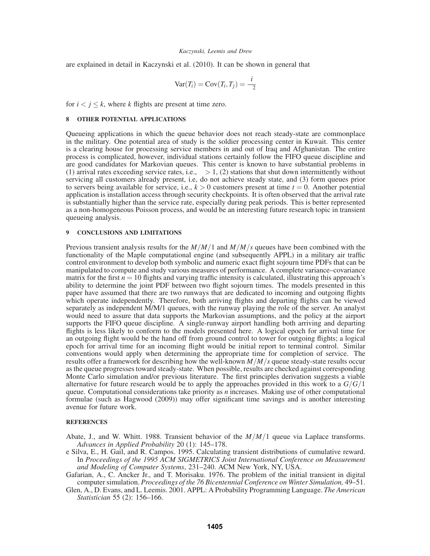are explained in detail in Kaczynski et al. (2010). It can be shown in general that

$$
Var(T_i) = Cov(T_i, T_j) = \frac{i}{\mu^2}
$$

for  $i < j \leq k$ , where *k* flights are present at time zero.

## **8 OTHER POTENTIAL APPLICATIONS**

Queueing applications in which the queue behavior does not reach steady-state are commonplace in the military. One potential area of study is the soldier processing center in Kuwait. This center is a clearing house for processing service members in and out of Iraq and Afghanistan. The entire process is complicated, however, individual stations certainly follow the FIFO queue discipline and are good candidates for Markovian queues. This center is known to have substantial problems in (1) arrival rates exceeding service rates, i.e.,  $\rho > 1$ , (2) stations that shut down intermittently without servicing all customers already present, i.e, do not achieve steady state, and (3) form queues prior to servers being available for service, i.e.,  $k > 0$  customers present at time  $t = 0$ . Another potential application is installation access through security checkpoints. It is often observed that the arrival rate is substantially higher than the service rate, especially during peak periods. This is better represented as a non-homogeneous Poisson process, and would be an interesting future research topic in transient queueing analysis.

# **9 CONCLUSIONS AND LIMITATIONS**

Previous transient analysis results for the *M*/*M*/1 and *M*/*M*/*s* queues have been combined with the functionality of the Maple computational engine (and subsequently APPL) in a military air traffic control environment to develop both symbolic and numeric exact flight sojourn time PDFs that can be manipulated to compute and study various measures of performance. A complete variance–covariance matrix for the first  $n = 10$  flights and varying traffic intensity is calculated, illustrating this approach's ability to determine the joint PDF between two flight sojourn times. The models presented in this paper have assumed that there are two runways that are dedicated to incoming and outgoing flights which operate independently. Therefore, both arriving flights and departing flights can be viewed separately as independent M/M/1 queues, with the runway playing the role of the server. An analyst would need to assure that data supports the Markovian assumptions, and the policy at the airport supports the FIFO queue discipline. A single-runway airport handling both arriving and departing flights is less likely to conform to the models presented here. A logical epoch for arrival time for an outgoing flight would be the hand off from ground control to tower for outgoing flights; a logical epoch for arrival time for an incoming flight would be initial report to terminal control. Similar conventions would apply when determining the appropriate time for completion of service. The results offer a framework for describing how the well-known *M*/*M*/*s* queue steady-state results occur as the queue progresses toward steady-state. When possible, results are checked against corresponding Monte Carlo simulation and/or previous literature. The first principles derivation suggests a viable alternative for future research would be to apply the approaches provided in this work to a *G*/*G*/1 queue. Computational considerations take priority as *n* increases. Making use of other computational formulae (such as Hagwood (2009)) may offer significant time savings and is another interesting avenue for future work.

## **REFERENCES**

- Abate, J., and W. Whitt. 1988. Transient behavior of the *M*/*M*/1 queue via Laplace transforms. *Advances in Applied Probability* 20 (1): 145–178.
- e Silva, E., H. Gail, and R. Campos. 1995. Calculating transient distributions of cumulative reward. In *Proceedings of the 1995 ACM SIGMETRICS Joint International Conference on Measurement and Modeling of Computer Systems*, 231–240. ACM New York, NY, USA.
- Gafarian, A., C. Ancker Jr., and T. Morisaku. 1976. The problem of the initial transient in digital computer simulation. *Proceedings of the 76 Bicentennial Conference on Winter Simulation,* 49–51.
- Glen, A., D. Evans, and L. Leemis. 2001. APPL: A Probability Programming Language. *The American Statistician* 55 (2): 156–166.